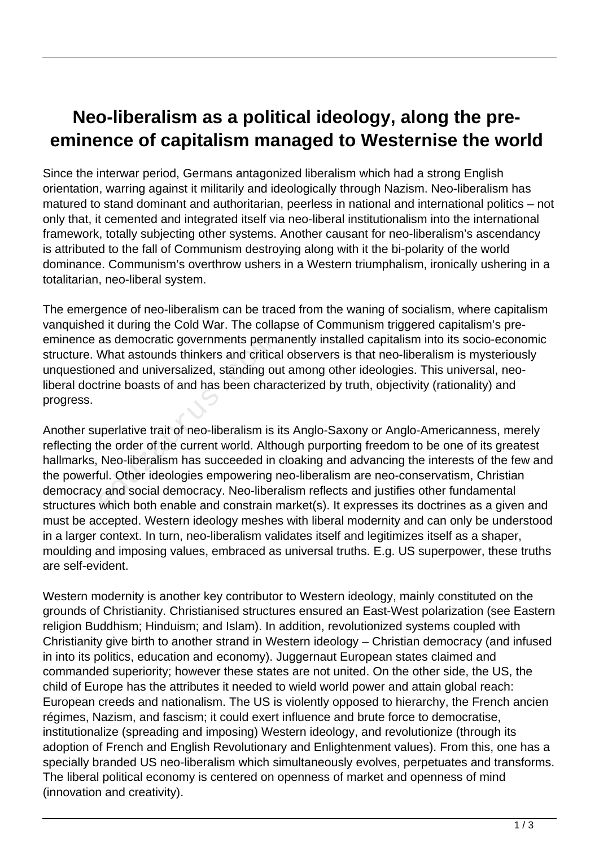## **Neo-liberalism as a political ideology, along the preeminence of capitalism managed to Westernise the world**

Since the interwar period, Germans antagonized liberalism which had a strong English orientation, warring against it militarily and ideologically through Nazism. Neo-liberalism has matured to stand dominant and authoritarian, peerless in national and international politics – not only that, it cemented and integrated itself via neo-liberal institutionalism into the international framework, totally subjecting other systems. Another causant for neo-liberalism's ascendancy is attributed to the fall of Communism destroying along with it the bi-polarity of the world dominance. Communism's overthrow ushers in a Western triumphalism, ironically ushering in a totalitarian, neo-liberal system.

The emergence of neo-liberalism can be traced from the waning of socialism, where capitalism vanquished it during the Cold War. The collapse of Communism triggered capitalism's preeminence as democratic governments permanently installed capitalism into its socio-economic structure. What astounds thinkers and critical observers is that neo-liberalism is mysteriously unquestioned and universalized, standing out among other ideologies. This universal, neoliberal doctrine boasts of and has been characterized by truth, objectivity (rationality) and progress.

Another superlative trait of neo-liberalism is its Anglo-Saxony or Anglo-Americanness, merely reflecting the order of the current world. Although purporting freedom to be one of its greatest hallmarks, Neo-liberalism has succeeded in cloaking and advancing the interests of the few and the powerful. Other ideologies empowering neo-liberalism are neo-conservatism, Christian democracy and social democracy. Neo-liberalism reflects and justifies other fundamental structures which both enable and constrain market(s). It expresses its doctrines as a given and must be accepted. Western ideology meshes with liberal modernity and can only be understood in a larger context. In turn, neo-liberalism validates itself and legitimizes itself as a shaper, moulding and imposing values, embraced as universal truths. E.g. US superpower, these truths are self-evident. as democratic governments perm<br>What astounds thinkers and critica<br>ned and universalized, standing ou<br>trine boasts of and has been chara<br>uperlative trait of neo-liberalism is<br>he order of the current world. Alth<br>Neo-liberali

Western modernity is another key contributor to Western ideology, mainly constituted on the grounds of Christianity. Christianised structures ensured an East-West polarization (see Eastern religion Buddhism; Hinduism; and Islam). In addition, revolutionized systems coupled with Christianity give birth to another strand in Western ideology – Christian democracy (and infused in into its politics, education and economy). Juggernaut European states claimed and commanded superiority; however these states are not united. On the other side, the US, the child of Europe has the attributes it needed to wield world power and attain global reach: European creeds and nationalism. The US is violently opposed to hierarchy, the French ancien régimes, Nazism, and fascism; it could exert influence and brute force to democratise, institutionalize (spreading and imposing) Western ideology, and revolutionize (through its adoption of French and English Revolutionary and Enlightenment values). From this, one has a specially branded US neo-liberalism which simultaneously evolves, perpetuates and transforms. The liberal political economy is centered on openness of market and openness of mind (innovation and creativity).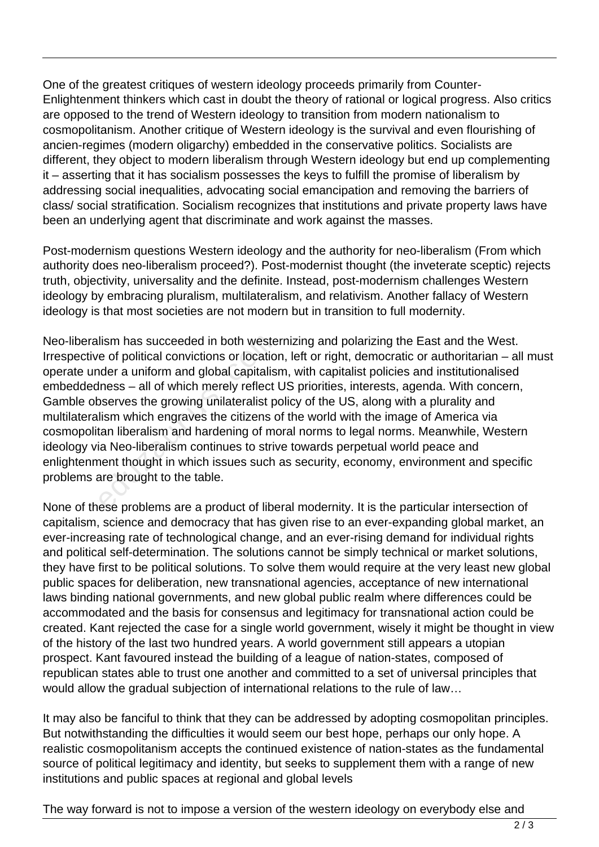One of the greatest critiques of western ideology proceeds primarily from Counter-Enlightenment thinkers which cast in doubt the theory of rational or logical progress. Also critics are opposed to the trend of Western ideology to transition from modern nationalism to cosmopolitanism. Another critique of Western ideology is the survival and even flourishing of ancien-regimes (modern oligarchy) embedded in the conservative politics. Socialists are different, they object to modern liberalism through Western ideology but end up complementing it – asserting that it has socialism possesses the keys to fulfill the promise of liberalism by addressing social inequalities, advocating social emancipation and removing the barriers of class/ social stratification. Socialism recognizes that institutions and private property laws have been an underlying agent that discriminate and work against the masses.

Post-modernism questions Western ideology and the authority for neo-liberalism (From which authority does neo-liberalism proceed?). Post-modernist thought (the inveterate sceptic) rejects truth, objectivity, universality and the definite. Instead, post-modernism challenges Western ideology by embracing pluralism, multilateralism, and relativism. Another fallacy of Western ideology is that most societies are not modern but in transition to full modernity.

Neo-liberalism has succeeded in both westernizing and polarizing the East and the West. Irrespective of political convictions or location, left or right, democratic or authoritarian – all must operate under a uniform and global capitalism, with capitalist policies and institutionalised embeddedness – all of which merely reflect US priorities, interests, agenda. With concern, Gamble observes the growing unilateralist policy of the US, along with a plurality and multilateralism which engraves the citizens of the world with the image of America via cosmopolitan liberalism and hardening of moral norms to legal norms. Meanwhile, Western ideology via Neo-liberalism continues to strive towards perpetual world peace and enlightenment thought in which issues such as security, economy, environment and specific problems are brought to the table. lism has succeeded in both weste<br>e of political convictions or locatio<br>ider a uniform and global capitalis<br>lness – all of which merely reflect<br>bserves the growing unilateralist p<br>lism which engraves the citizens c<br>tan libe

None of these problems are a product of liberal modernity. It is the particular intersection of capitalism, science and democracy that has given rise to an ever-expanding global market, an ever-increasing rate of technological change, and an ever-rising demand for individual rights and political self-determination. The solutions cannot be simply technical or market solutions, they have first to be political solutions. To solve them would require at the very least new global public spaces for deliberation, new transnational agencies, acceptance of new international laws binding national governments, and new global public realm where differences could be accommodated and the basis for consensus and legitimacy for transnational action could be created. Kant rejected the case for a single world government, wisely it might be thought in view of the history of the last two hundred years. A world government still appears a utopian prospect. Kant favoured instead the building of a league of nation-states, composed of republican states able to trust one another and committed to a set of universal principles that would allow the gradual subjection of international relations to the rule of law…

It may also be fanciful to think that they can be addressed by adopting cosmopolitan principles. But notwithstanding the difficulties it would seem our best hope, perhaps our only hope. A realistic cosmopolitanism accepts the continued existence of nation-states as the fundamental source of political legitimacy and identity, but seeks to supplement them with a range of new institutions and public spaces at regional and global levels

The way forward is not to impose a version of the western ideology on everybody else and